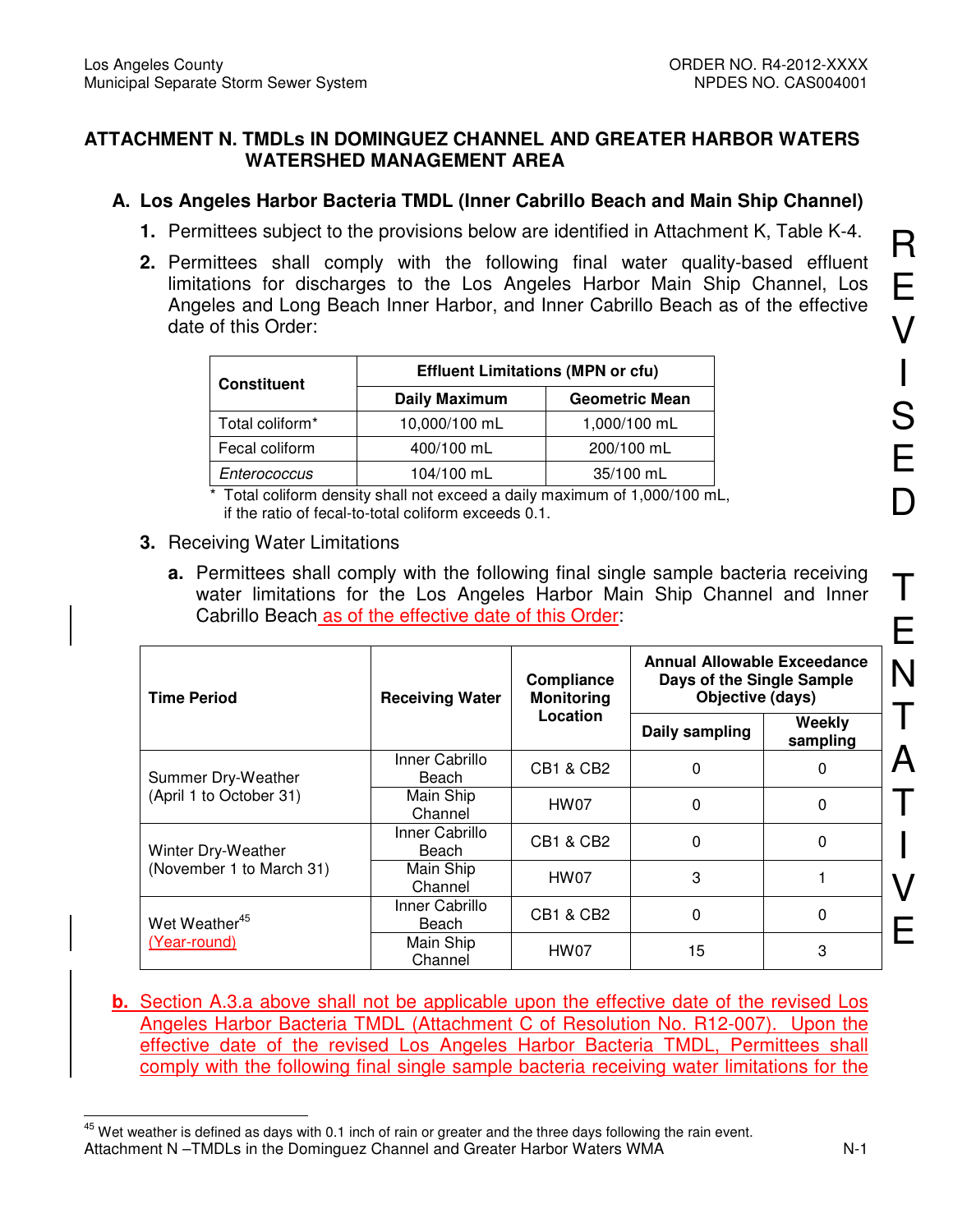### **ATTACHMENT N. TMDLs IN DOMINGUEZ CHANNEL AND GREATER HARBOR WATERS WATERSHED MANAGEMENT AREA**

## **A. Los Angeles Harbor Bacteria TMDL (Inner Cabrillo Beach and Main Ship Channel)**

- **1.** Permittees subject to the provisions below are identified in Attachment K, Table K-4.
- **2.** Permittees shall comply with the following final water quality-based effluent limitations for discharges to the Los Angeles Harbor Main Ship Channel, Los Angeles and Long Beach Inner Harbor, and Inner Cabrillo Beach as of the effective date of this Order:

| <b>Constituent</b>          | <b>Effluent Limitations (MPN or cfu)</b> |                       |
|-----------------------------|------------------------------------------|-----------------------|
|                             | <b>Daily Maximum</b>                     | <b>Geometric Mean</b> |
| Total coliform <sup>*</sup> | 10,000/100 mL                            | 1,000/100 mL          |
| Fecal coliform              | 400/100 mL                               | 200/100 mL            |
| Enterococcus                | 104/100 mL                               | 35/100 mL             |

\* Total coliform density shall not exceed a daily maximum of 1,000/100 mL, if the ratio of fecal-to-total coliform exceeds 0.1.

#### **3.** Receiving Water Limitations

**a.** Permittees shall comply with the following final single sample bacteria receiving water limitations for the Los Angeles Harbor Main Ship Channel and Inner Cabrillo Beach as of the effective date of this Order:

| <b>Time Period</b>                        | Compliance<br><b>Monitoring</b><br><b>Receiving Water</b> |                      | <b>Annual Allowable Exceedance</b><br>Days of the Single Sample<br>Objective (days) |                    |
|-------------------------------------------|-----------------------------------------------------------|----------------------|-------------------------------------------------------------------------------------|--------------------|
|                                           |                                                           | Location             | Daily sampling                                                                      | Weekly<br>sampling |
| Summer Dry-Weather                        | Inner Cabrillo<br>Beach                                   | CB1 & CB2            | 0                                                                                   | 0                  |
| (April 1 to October 31)                   | Main Ship<br>Channel                                      | HW07                 | 0                                                                                   | 0                  |
| Winter Dry-Weather                        | Inner Cabrillo<br>Beach                                   | CB1 & CB2            | 0                                                                                   | 0                  |
| (November 1 to March 31)                  | Main Ship<br>Channel                                      | HW07                 | 3                                                                                   |                    |
| Wet Weather <sup>45</sup><br>(Year-round) | Inner Cabrillo<br>Beach                                   | <b>CB1 &amp; CB2</b> | $\Omega$                                                                            | 0                  |
|                                           | Main Ship<br>Channel                                      | HW07                 | 15                                                                                  | 3                  |

**b.** Section A.3.a above shall not be applicable upon the effective date of the revised Los Angeles Harbor Bacteria TMDL (Attachment C of Resolution No. R12-007). Upon the effective date of the revised Los Angeles Harbor Bacteria TMDL, Permittees shall comply with the following final single sample bacteria receiving water limitations for the

Attachment N –TMDLs in the Dominguez Channel and Greater Harbor Waters WMA N-1  $\overline{a}$  $45$  Wet weather is defined as days with 0.1 inch of rain or greater and the three days following the rain event.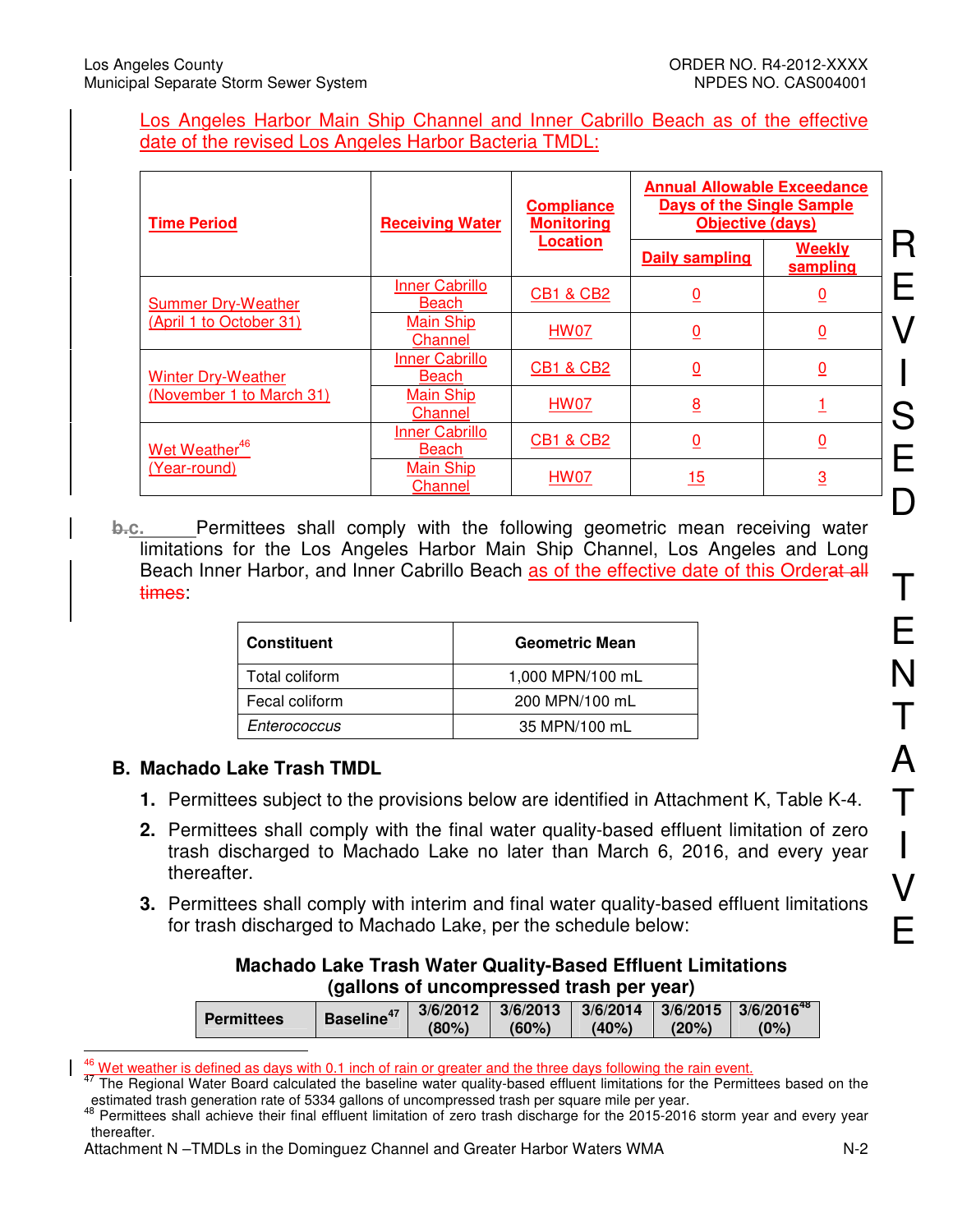#### Los Angeles Harbor Main Ship Channel and Inner Cabrillo Beach as of the effective date of the revised Los Angeles Harbor Bacteria TMDL:

| <b>Time Period</b>        | <b>Receiving Water</b>                | <b>Compliance</b><br><b>Monitoring</b> | <b>Annual Allowable Exceedance</b><br><b>Days of the Single Sample</b><br><b>Objective (days)</b> |                           |
|---------------------------|---------------------------------------|----------------------------------------|---------------------------------------------------------------------------------------------------|---------------------------|
|                           |                                       | <b>Location</b>                        | <b>Daily sampling</b>                                                                             | <b>Weekly</b><br>sampling |
| <b>Summer Dry-Weather</b> | <b>Inner Cabrillo</b><br><b>Beach</b> | <b>CB1 &amp; CB2</b>                   | $\overline{0}$                                                                                    | $\overline{0}$            |
| (April 1 to October 31)   | <b>Main Ship</b><br>Channel           | <b>HW07</b>                            | $\overline{0}$                                                                                    | $\overline{0}$            |
| <b>Winter Dry-Weather</b> | <b>Inner Cabrillo</b><br>Beach        | <b>CB1 &amp; CB2</b>                   | $\overline{0}$                                                                                    | $\overline{0}$            |
| (November 1 to March 31)  | <b>Main Ship</b><br>Channel           | <b>HW07</b>                            | $\overline{8}$                                                                                    |                           |
| Wet Weather <sup>46</sup> | <b>Inner Cabrillo</b><br><b>Beach</b> | <b>CB1 &amp; CB2</b>                   | <u>0</u>                                                                                          | <u>0</u>                  |
| (Year-round)              | <b>Main Ship</b><br>Channel           | HW07                                   | 15                                                                                                | $\overline{3}$            |

**b.c.** Permittees shall comply with the following geometric mean receiving water limitations for the Los Angeles Harbor Main Ship Channel, Los Angeles and Long Beach Inner Harbor, and Inner Cabrillo Beach as of the effective date of this Orderat all times:

| <b>Constituent</b> | <b>Geometric Mean</b> |
|--------------------|-----------------------|
| Total coliform     | 1,000 MPN/100 mL      |
| Fecal coliform     | 200 MPN/100 mL        |
| Enterococcus       | 35 MPN/100 mL         |

### **B. Machado Lake Trash TMDL**

- **1.** Permittees subject to the provisions below are identified in Attachment K, Table K-4.
- **2.** Permittees shall comply with the final water quality-based effluent limitation of zero trash discharged to Machado Lake no later than March 6, 2016, and every year thereafter.
- **3.** Permittees shall comply with interim and final water quality-based effluent limitations for trash discharged to Machado Lake, per the schedule below:

| <b>Machado Lake Trash Water Quality-Based Effluent Limitations</b> |  |
|--------------------------------------------------------------------|--|
| (gallons of uncompressed trash per year)                           |  |

|                   | <b>Baseline</b> | 3/6/2012 | 3/6/2013 | 3/6/2014 3/6/2015 |         | $13/6/2016^{48}$ |
|-------------------|-----------------|----------|----------|-------------------|---------|------------------|
| <b>Permittees</b> |                 | (80%)    | (60%)    | (40%)             | $'20\%$ | (0%)             |

 $\overline{1}$  $46$  Wet weather is defined as days with 0.1 inch of rain or greater and the three days following the rain event.

AT The Regional Water Board calculated the baseline water quality-based effluent limitations for the Permittees based on the estimated trash generation rate of 5334 gallons of uncompressed trash per square mile per year.

<sup>48</sup> Permittees shall achieve their final effluent limitation of zero trash discharge for the 2015-2016 storm year and every year thereafter.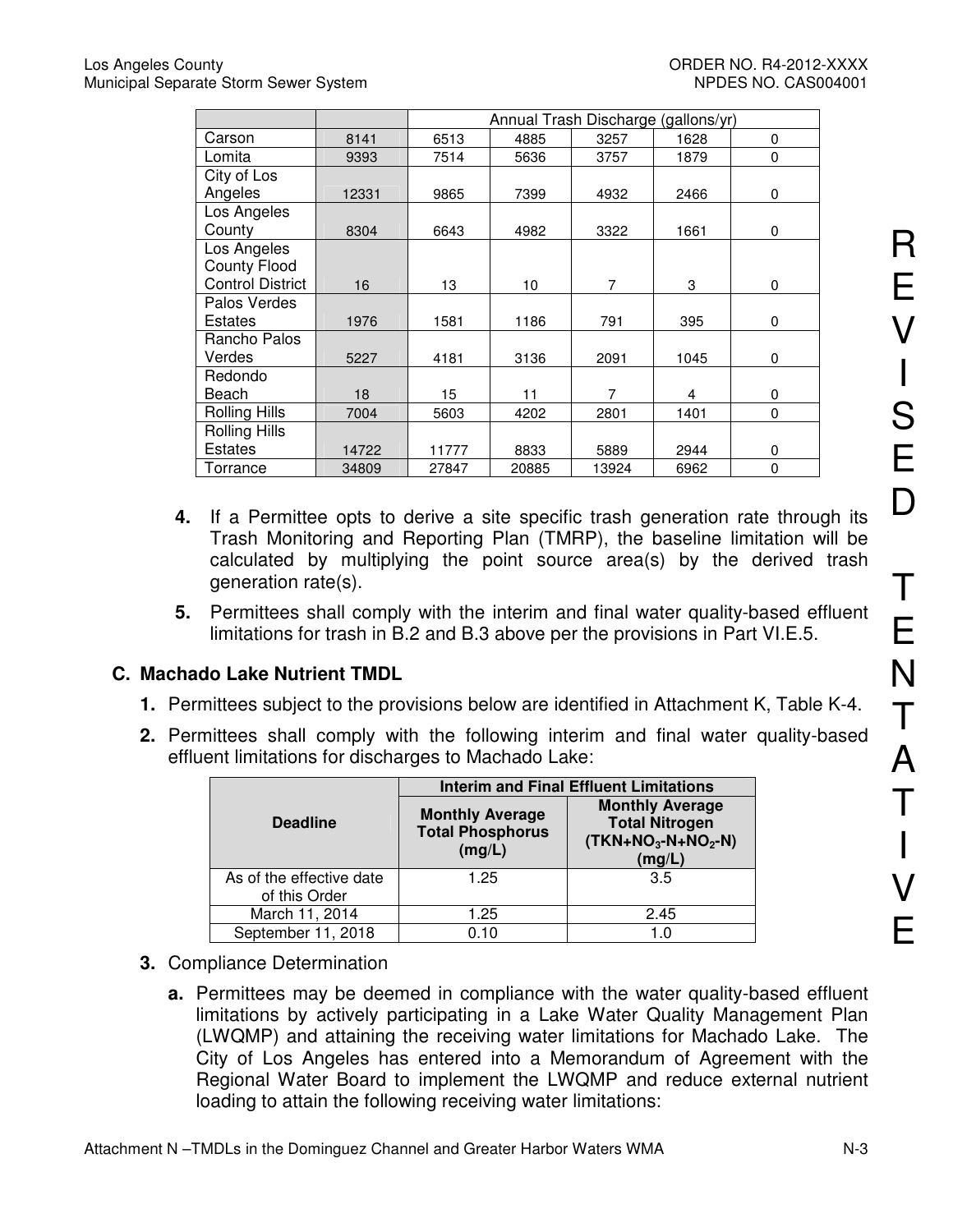|                         |       | Annual Trash Discharge (gallons/yr) |       |       |      |   |
|-------------------------|-------|-------------------------------------|-------|-------|------|---|
| Carson                  | 8141  | 6513                                | 4885  | 3257  | 1628 | 0 |
| Lomita                  | 9393  | 7514                                | 5636  | 3757  | 1879 | 0 |
| City of Los             |       |                                     |       |       |      |   |
| Angeles                 | 12331 | 9865                                | 7399  | 4932  | 2466 | 0 |
| Los Angeles             |       |                                     |       |       |      |   |
| County                  | 8304  | 6643                                | 4982  | 3322  | 1661 | 0 |
| Los Angeles             |       |                                     |       |       |      |   |
| <b>County Flood</b>     |       |                                     |       |       |      |   |
| <b>Control District</b> | 16    | 13                                  | 10    | 7     | 3    | 0 |
| Palos Verdes            |       |                                     |       |       |      |   |
| <b>Estates</b>          | 1976  | 1581                                | 1186  | 791   | 395  | 0 |
| Rancho Palos            |       |                                     |       |       |      |   |
| Verdes                  | 5227  | 4181                                | 3136  | 2091  | 1045 | 0 |
| Redondo                 |       |                                     |       |       |      |   |
| Beach                   | 18    | 15                                  | 11    | 7     | 4    | 0 |
| <b>Rolling Hills</b>    | 7004  | 5603                                | 4202  | 2801  | 1401 | 0 |
| <b>Rolling Hills</b>    |       |                                     |       |       |      |   |
| <b>Estates</b>          | 14722 | 11777                               | 8833  | 5889  | 2944 | 0 |
| Torrance                | 34809 | 27847                               | 20885 | 13924 | 6962 | 0 |

- **4.** If a Permittee opts to derive a site specific trash generation rate through its Trash Monitoring and Reporting Plan (TMRP), the baseline limitation will be calculated by multiplying the point source area(s) by the derived trash generation rate(s).
- **5.** Permittees shall comply with the interim and final water quality-based effluent limitations for trash in B.2 and B.3 above per the provisions in Part VI.E.5.

# **C. Machado Lake Nutrient TMDL**

- **1.** Permittees subject to the provisions below are identified in Attachment K, Table K-4.
- **2.** Permittees shall comply with the following interim and final water quality-based effluent limitations for discharges to Machado Lake:

|                                           | <b>Interim and Final Effluent Limitations</b>               |                                                                                  |  |  |
|-------------------------------------------|-------------------------------------------------------------|----------------------------------------------------------------------------------|--|--|
| <b>Deadline</b>                           | <b>Monthly Average</b><br><b>Total Phosphorus</b><br>(mg/L) | <b>Monthly Average</b><br><b>Total Nitrogen</b><br>$(TKN+NO3-N+NO2-N)$<br>(mg/L) |  |  |
| As of the effective date<br>of this Order | 1.25                                                        | 3.5                                                                              |  |  |
| March 11, 2014                            | 1.25                                                        | 2.45                                                                             |  |  |
| September 11, 2018                        | 0.10                                                        | 1.0                                                                              |  |  |

- **3.** Compliance Determination
	- **a.** Permittees may be deemed in compliance with the water quality-based effluent limitations by actively participating in a Lake Water Quality Management Plan (LWQMP) and attaining the receiving water limitations for Machado Lake. The City of Los Angeles has entered into a Memorandum of Agreement with the Regional Water Board to implement the LWQMP and reduce external nutrient loading to attain the following receiving water limitations:

R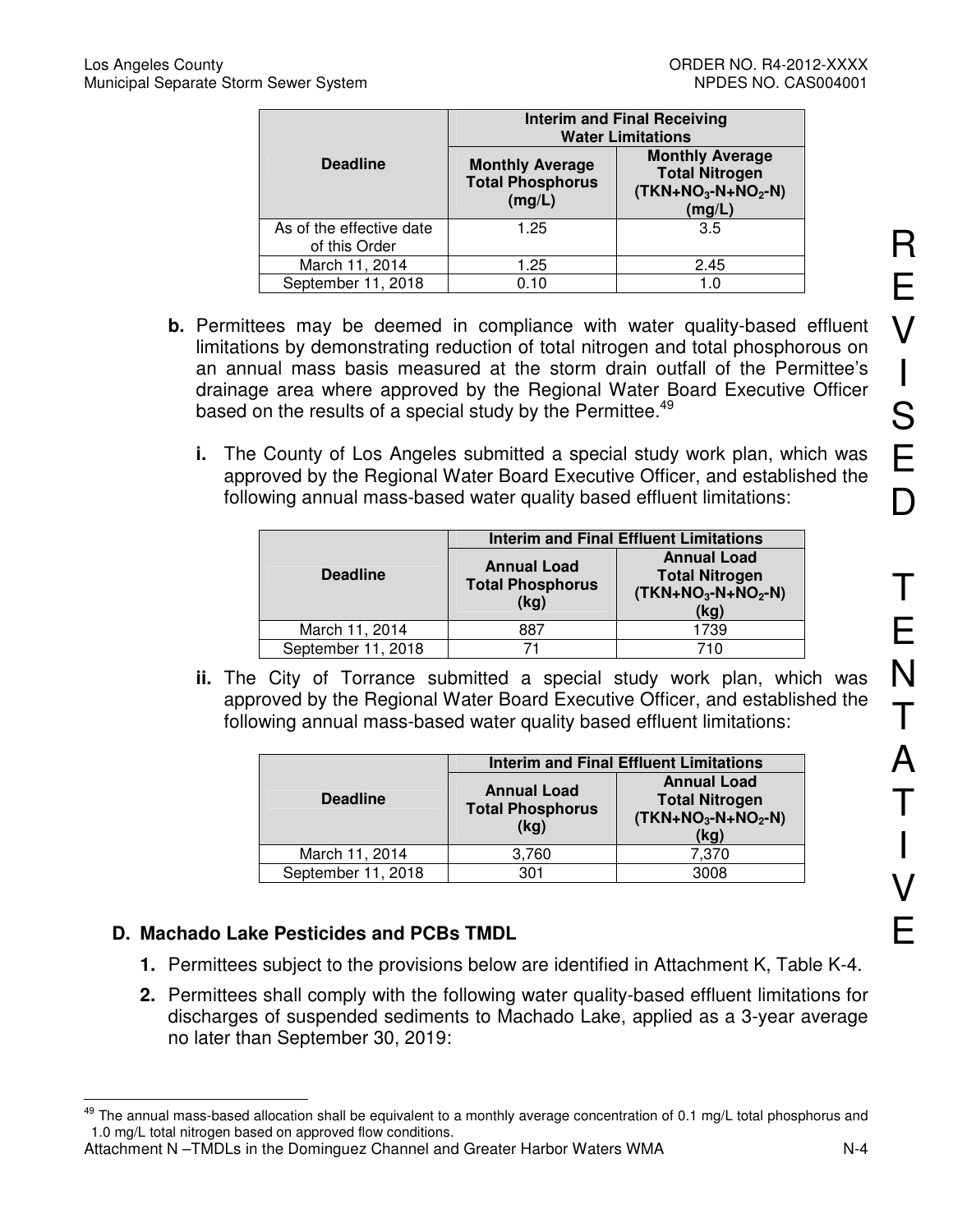|                                           |                                                             | <b>Interim and Final Receiving</b><br><b>Water Limitations</b>                   |
|-------------------------------------------|-------------------------------------------------------------|----------------------------------------------------------------------------------|
| <b>Deadline</b>                           | <b>Monthly Average</b><br><b>Total Phosphorus</b><br>(mg/L) | <b>Monthly Average</b><br><b>Total Nitrogen</b><br>$(TKN+NO3-N+NO2-N)$<br>(mg/L) |
| As of the effective date<br>of this Order | 1.25                                                        | 3.5                                                                              |
| March 11, 2014                            | 1.25                                                        | 2.45                                                                             |
| September 11, 2018                        | 0.10                                                        | 1.0                                                                              |

- **b.** Permittees may be deemed in compliance with water quality-based effluent limitations by demonstrating reduction of total nitrogen and total phosphorous on an annual mass basis measured at the storm drain outfall of the Permittee's drainage area where approved by the Regional Water Board Executive Officer based on the results of a special study by the Permittee.<sup>49</sup>
	- **i.** The County of Los Angeles submitted a special study work plan, which was approved by the Regional Water Board Executive Officer, and established the following annual mass-based water quality based effluent limitations:

|                    |                                                       | <b>Interim and Final Effluent Limitations</b>                              |
|--------------------|-------------------------------------------------------|----------------------------------------------------------------------------|
| <b>Deadline</b>    | <b>Annual Load</b><br><b>Total Phosphorus</b><br>(kg) | <b>Annual Load</b><br><b>Total Nitrogen</b><br>$(TKN+NO3-N+NO2-N)$<br>(kg) |
| March 11, 2014     | 887                                                   | 1739                                                                       |
| September 11, 2018 |                                                       | 710                                                                        |

**ii.** The City of Torrance submitted a special study work plan, which was approved by the Regional Water Board Executive Officer, and established the following annual mass-based water quality based effluent limitations:

|                    |                                                       | <b>Interim and Final Effluent Limitations</b>                              |
|--------------------|-------------------------------------------------------|----------------------------------------------------------------------------|
| <b>Deadline</b>    | <b>Annual Load</b><br><b>Total Phosphorus</b><br>(kg) | <b>Annual Load</b><br><b>Total Nitrogen</b><br>$(TKN+NO3-N+NO2-N)$<br>(kg) |
| March 11, 2014     | 3,760                                                 | 7,370                                                                      |
| September 11, 2018 | 301                                                   | 3008                                                                       |

# **D. Machado Lake Pesticides and PCBs TMDL**

- **1.** Permittees subject to the provisions below are identified in Attachment K, Table K-4.
- **2.** Permittees shall comply with the following water quality-based effluent limitations for discharges of suspended sediments to Machado Lake, applied as a 3-year average no later than September 30, 2019:

 $\overline{a}$ The annual mass-based allocation shall be equivalent to a monthly average concentration of 0.1 mg/L total phosphorus and 1.0 mg/L total nitrogen based on approved flow conditions.

Attachment N –TMDLs in the Dominguez Channel and Greater Harbor Waters WMA N-4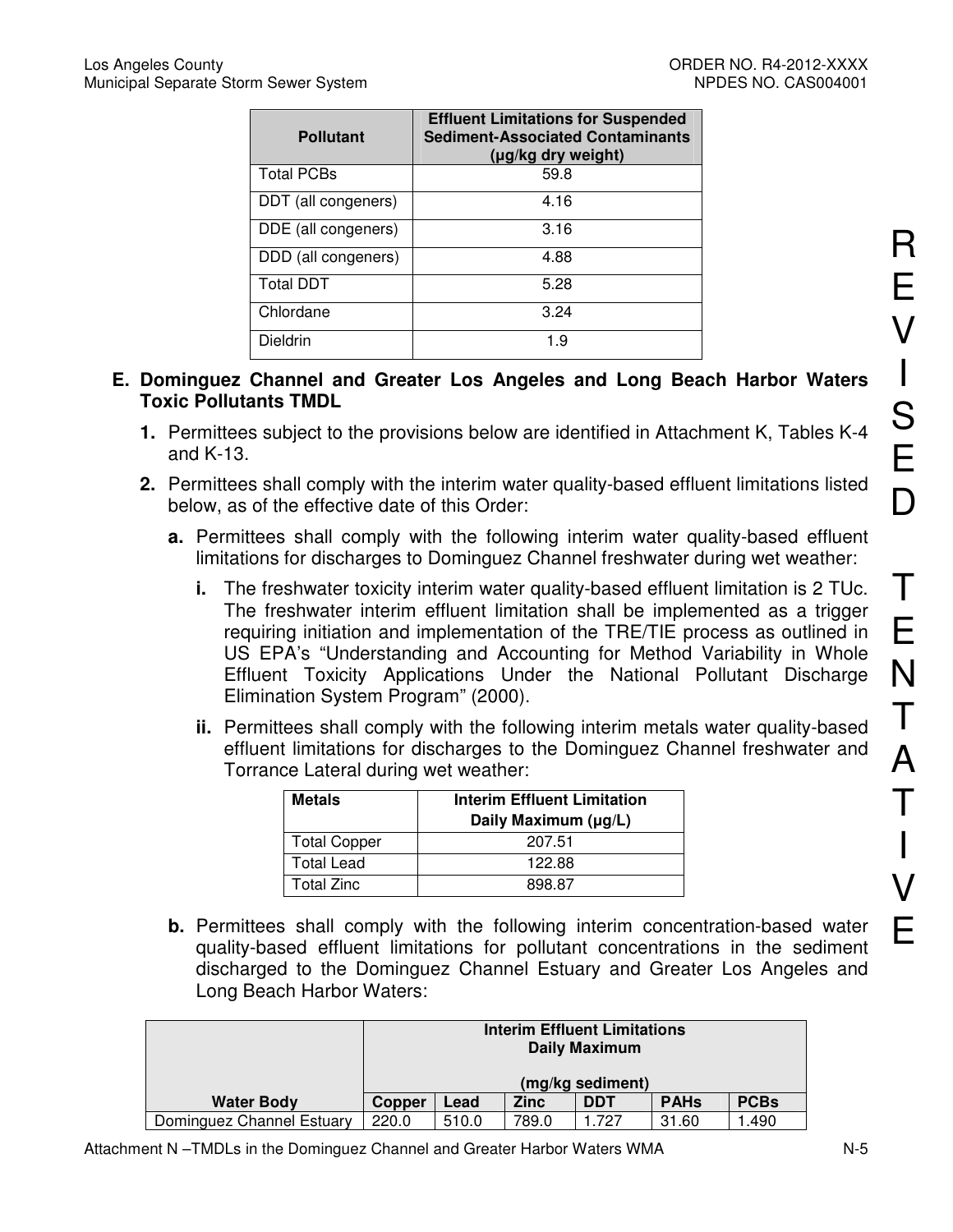| <b>Pollutant</b>    | <b>Effluent Limitations for Suspended</b><br><b>Sediment-Associated Contaminants</b><br>(µg/kg dry weight) |
|---------------------|------------------------------------------------------------------------------------------------------------|
| <b>Total PCBs</b>   | 59.8                                                                                                       |
| DDT (all congeners) | 4.16                                                                                                       |
| DDE (all congeners) | 3.16                                                                                                       |
| DDD (all congeners) | 4.88                                                                                                       |
| <b>Total DDT</b>    | 5.28                                                                                                       |
| Chlordane           | 3.24                                                                                                       |
| Dieldrin            | 1.9                                                                                                        |

### **E. Dominguez Channel and Greater Los Angeles and Long Beach Harbor Waters Toxic Pollutants TMDL**

- **1.** Permittees subject to the provisions below are identified in Attachment K, Tables K-4 and K-13.
- **2.** Permittees shall comply with the interim water quality-based effluent limitations listed below, as of the effective date of this Order:
	- **a.** Permittees shall comply with the following interim water quality-based effluent limitations for discharges to Dominguez Channel freshwater during wet weather:
		- **i.** The freshwater toxicity interim water quality-based effluent limitation is 2 TUc. The freshwater interim effluent limitation shall be implemented as a trigger requiring initiation and implementation of the TRE/TIE process as outlined in US EPA's "Understanding and Accounting for Method Variability in Whole Effluent Toxicity Applications Under the National Pollutant Discharge Elimination System Program" (2000).
		- **ii.** Permittees shall comply with the following interim metals water quality-based effluent limitations for discharges to the Dominguez Channel freshwater and Torrance Lateral during wet weather:

| <b>Metals</b>       | <b>Interim Effluent Limitation</b><br>Daily Maximum (µg/L) |
|---------------------|------------------------------------------------------------|
| <b>Total Copper</b> | 207.51                                                     |
| <b>Total Lead</b>   | 122.88                                                     |
| <b>Total Zinc</b>   | 898 87                                                     |

**b.** Permittees shall comply with the following interim concentration-based water quality-based effluent limitations for pollutant concentrations in the sediment discharged to the Dominguez Channel Estuary and Greater Los Angeles and Long Beach Harbor Waters:

|                           | <b>Interim Effluent Limitations</b><br><b>Daily Maximum</b>                      |       |       |       |       |        |
|---------------------------|----------------------------------------------------------------------------------|-------|-------|-------|-------|--------|
|                           | (mg/kg sediment)                                                                 |       |       |       |       |        |
| <b>Water Body</b>         | <b>PCBs</b><br><b>PAHs</b><br><b>Zinc</b><br><b>DDT</b><br>Lead<br><b>Copper</b> |       |       |       |       |        |
| Dominguez Channel Estuary | 220.0                                                                            | 510.0 | 789.0 | 1.727 | 31.60 | 490. ا |

R

E

V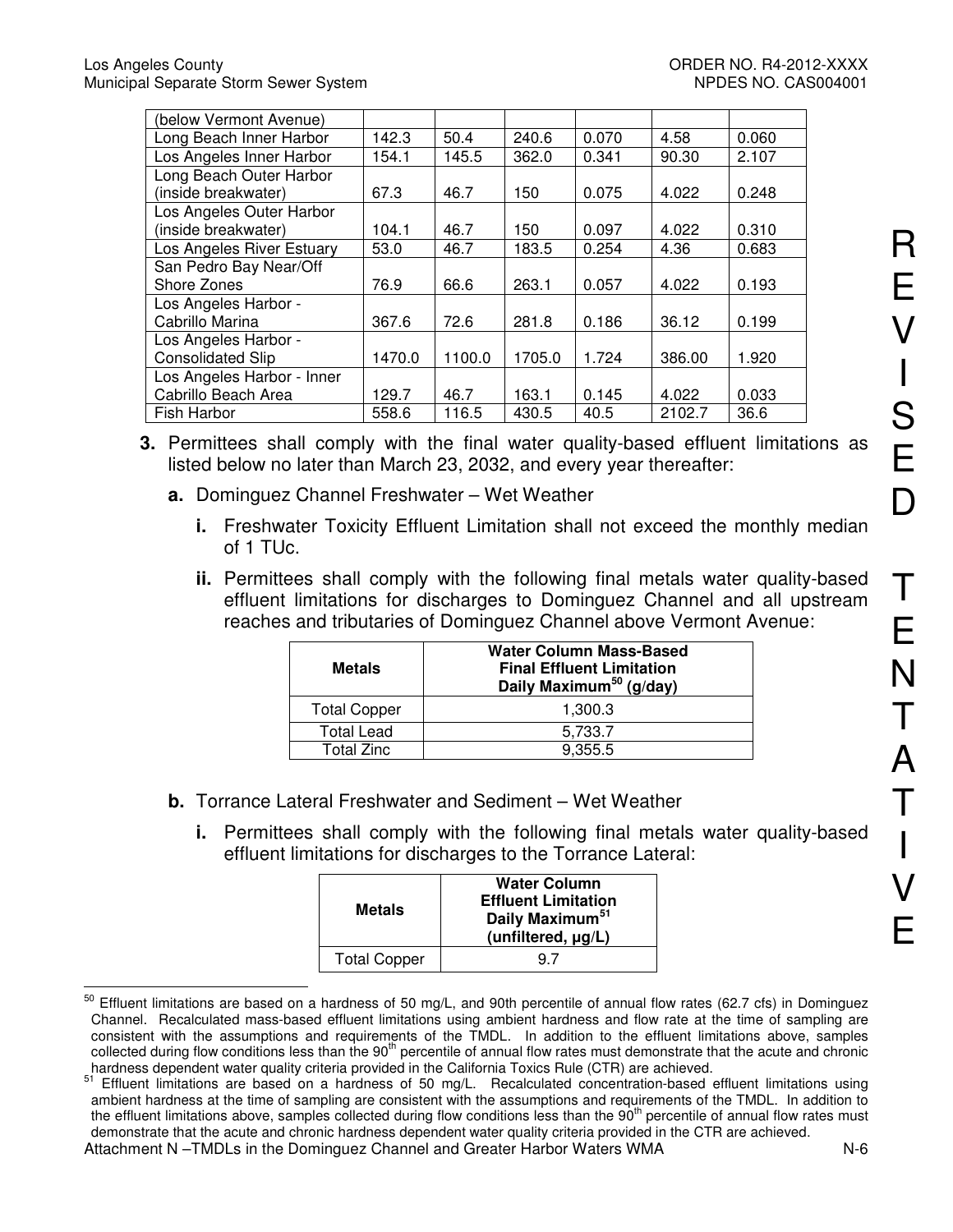| (below Vermont Avenue)     |        |        |        |       |        |       |
|----------------------------|--------|--------|--------|-------|--------|-------|
| Long Beach Inner Harbor    | 142.3  | 50.4   | 240.6  | 0.070 | 4.58   | 0.060 |
| Los Angeles Inner Harbor   | 154.1  | 145.5  | 362.0  | 0.341 | 90.30  | 2.107 |
| Long Beach Outer Harbor    |        |        |        |       |        |       |
| (inside breakwater)        | 67.3   | 46.7   | 150    | 0.075 | 4.022  | 0.248 |
| Los Angeles Outer Harbor   |        |        |        |       |        |       |
| (inside breakwater)        | 104.1  | 46.7   | 150    | 0.097 | 4.022  | 0.310 |
| Los Angeles River Estuary  | 53.0   | 46.7   | 183.5  | 0.254 | 4.36   | 0.683 |
| San Pedro Bay Near/Off     |        |        |        |       |        |       |
| Shore Zones                | 76.9   | 66.6   | 263.1  | 0.057 | 4.022  | 0.193 |
| Los Angeles Harbor -       |        |        |        |       |        |       |
| Cabrillo Marina            | 367.6  | 72.6   | 281.8  | 0.186 | 36.12  | 0.199 |
| Los Angeles Harbor -       |        |        |        |       |        |       |
| <b>Consolidated Slip</b>   | 1470.0 | 1100.0 | 1705.0 | 1.724 | 386.00 | 1.920 |
| Los Angeles Harbor - Inner |        |        |        |       |        |       |
| Cabrillo Beach Area        | 129.7  | 46.7   | 163.1  | 0.145 | 4.022  | 0.033 |
| Fish Harbor                | 558.6  | 116.5  | 430.5  | 40.5  | 2102.7 | 36.6  |

- **3.** Permittees shall comply with the final water quality-based effluent limitations as listed below no later than March 23, 2032, and every year thereafter:
	- **a.** Dominguez Channel Freshwater Wet Weather
		- **i.** Freshwater Toxicity Effluent Limitation shall not exceed the monthly median of 1 TUc.
		- **ii.** Permittees shall comply with the following final metals water quality-based effluent limitations for discharges to Dominguez Channel and all upstream reaches and tributaries of Dominguez Channel above Vermont Avenue:

| <b>Metals</b>       | <b>Water Column Mass-Based</b><br><b>Final Effluent Limitation</b><br>Daily Maximum <sup>50</sup> (g/day) |
|---------------------|-----------------------------------------------------------------------------------------------------------|
| <b>Total Copper</b> | 1,300.3                                                                                                   |
| <b>Total Lead</b>   | 5,733.7                                                                                                   |
| Total Zinc          | 9.355.5                                                                                                   |

- **b.** Torrance Lateral Freshwater and Sediment Wet Weather
	- **i.** Permittees shall comply with the following final metals water quality-based effluent limitations for discharges to the Torrance Lateral:

| Metals              | <b>Water Column</b><br><b>Effluent Limitation</b><br>Daily Maximum <sup>51</sup><br>$(unfiltered, \mu q/L)$ |
|---------------------|-------------------------------------------------------------------------------------------------------------|
| <b>Total Copper</b> |                                                                                                             |

 $\overline{a}$  $^{50}$  Effluent limitations are based on a hardness of 50 mg/L, and 90th percentile of annual flow rates (62.7 cfs) in Dominguez Channel. Recalculated mass-based effluent limitations using ambient hardness and flow rate at the time of sampling are consistent with the assumptions and requirements of the TMDL. In addition to the effluent limitations above, samples collected during flow conditions less than the 90<sup>th</sup> percentile of annual flow rates must demonstrate that the acute and chronic hardness dependent water quality criteria provided in the California Toxics Rule (CTR) are achieved.

Attachment N –TMDLs in the Dominguez Channel and Greater Harbor Waters WMA  $N-6$ <sup>51</sup> Effluent limitations are based on a hardness of 50 mg/L. Recalculated concentration-based effluent limitations using ambient hardness at the time of sampling are consistent with the assumptions and requirements of the TMDL. In addition to the effluent limitations above, samples collected during flow conditions less than the 90<sup>th</sup> percentile of annual flow rates must demonstrate that the acute and chronic hardness dependent water quality criteria provided in the CTR are achieved.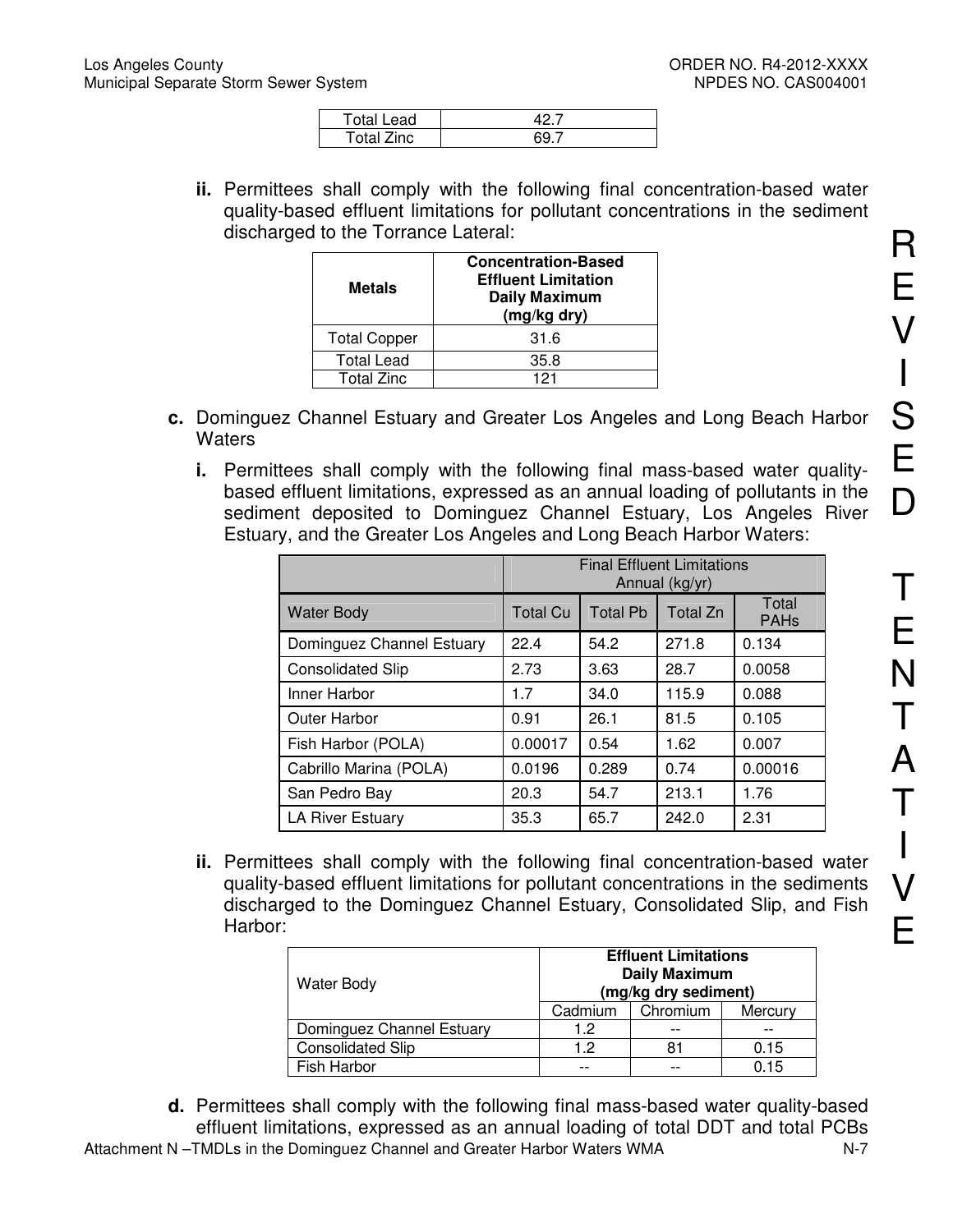| ead        |  |
|------------|--|
| Total Zinc |  |

**ii.** Permittees shall comply with the following final concentration-based water quality-based effluent limitations for pollutant concentrations in the sediment discharged to the Torrance Lateral:

| <b>Metals</b>       | <b>Concentration-Based</b><br><b>Effluent Limitation</b><br><b>Daily Maximum</b><br>(mg/kg dry) |
|---------------------|-------------------------------------------------------------------------------------------------|
| <b>Total Copper</b> | 31.6                                                                                            |
| <b>Total Lead</b>   | 35.8                                                                                            |
| <b>Total Zinc</b>   | 121                                                                                             |

- **c.** Dominguez Channel Estuary and Greater Los Angeles and Long Beach Harbor **Waters** 
	- **i.** Permittees shall comply with the following final mass-based water qualitybased effluent limitations, expressed as an annual loading of pollutants in the sediment deposited to Dominguez Channel Estuary, Los Angeles River Estuary, and the Greater Los Angeles and Long Beach Harbor Waters:

|                           | <b>Final Effluent Limitations</b><br>Annual (kg/yr) |                 |          |                      |
|---------------------------|-----------------------------------------------------|-----------------|----------|----------------------|
| <b>Water Body</b>         | <b>Total Cu</b>                                     | <b>Total Pb</b> | Total Zn | Total<br><b>PAHs</b> |
| Dominguez Channel Estuary | 22.4                                                | 54.2            | 271.8    | 0.134                |
| <b>Consolidated Slip</b>  | 2.73                                                | 3.63            | 28.7     | 0.0058               |
| Inner Harbor              | 1.7                                                 | 34.0            | 115.9    | 0.088                |
| <b>Outer Harbor</b>       | 0.91                                                | 26.1            | 81.5     | 0.105                |
| Fish Harbor (POLA)        | 0.00017                                             | 0.54            | 1.62     | 0.007                |
| Cabrillo Marina (POLA)    | 0.0196                                              | 0.289           | 0.74     | 0.00016              |
| San Pedro Bay             | 20.3                                                | 54.7            | 213.1    | 1.76                 |
| <b>LA River Estuary</b>   | 35.3                                                | 65.7            | 242.0    | 2.31                 |

**ii.** Permittees shall comply with the following final concentration-based water quality-based effluent limitations for pollutant concentrations in the sediments discharged to the Dominguez Channel Estuary, Consolidated Slip, and Fish Harbor:

| <b>Water Body</b>         | <b>Effluent Limitations</b><br><b>Daily Maximum</b><br>(mg/kg dry sediment) |          |         |  |
|---------------------------|-----------------------------------------------------------------------------|----------|---------|--|
|                           | Cadmium                                                                     | Chromium | Mercury |  |
| Dominguez Channel Estuary | 1.2                                                                         |          |         |  |
| <b>Consolidated Slip</b>  | 1.2                                                                         | 81       | 0.15    |  |
| Fish Harbor               | $- -$                                                                       |          | 0.15    |  |

Attachment N-TMDLs in the Dominguez Channel and Greater Harbor Waters WMA N-7 **d.** Permittees shall comply with the following final mass-based water quality-based effluent limitations, expressed as an annual loading of total DDT and total PCBs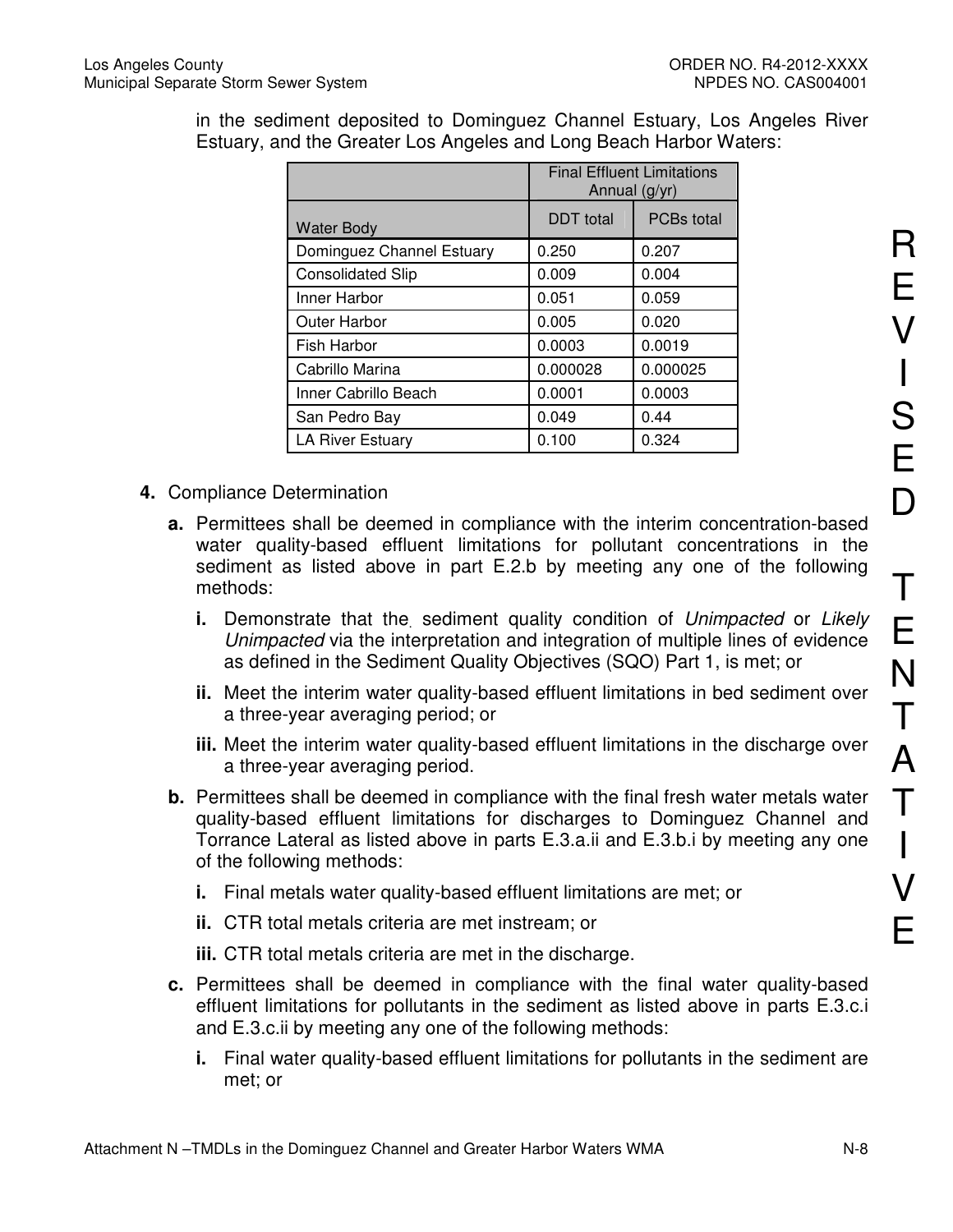in the sediment deposited to Dominguez Channel Estuary, Los Angeles River Estuary, and the Greater Los Angeles and Long Beach Harbor Waters:

|                           | <b>Final Effluent Limitations</b><br>Annual (g/yr) |          |  |
|---------------------------|----------------------------------------------------|----------|--|
| <b>Water Body</b>         | PCBs total<br><b>DDT</b> total                     |          |  |
| Dominguez Channel Estuary | 0.250                                              | 0.207    |  |
| <b>Consolidated Slip</b>  | 0.009                                              | 0.004    |  |
| Inner Harbor              | 0.051                                              | 0.059    |  |
| Outer Harbor              | 0.005                                              | 0.020    |  |
| Fish Harbor               | 0.0003                                             | 0.0019   |  |
| Cabrillo Marina           | 0.000028                                           | 0.000025 |  |
| Inner Cabrillo Beach      | 0.0001                                             | 0.0003   |  |
| San Pedro Bay             | 0.049                                              | 0.44     |  |
| <b>LA River Estuary</b>   | 0.100                                              | 0.324    |  |

- **4.** Compliance Determination
	- **a.** Permittees shall be deemed in compliance with the interim concentration-based water quality-based effluent limitations for pollutant concentrations in the sediment as listed above in part E.2.b by meeting any one of the following methods:
		- **i.** Demonstrate that the sediment quality condition of Unimpacted or Likely Unimpacted via the interpretation and integration of multiple lines of evidence as defined in the Sediment Quality Objectives (SQO) Part 1, is met; or
		- **ii.** Meet the interim water quality-based effluent limitations in bed sediment over a three-year averaging period; or
		- **iii.** Meet the interim water quality-based effluent limitations in the discharge over a three-year averaging period.
	- **b.** Permittees shall be deemed in compliance with the final fresh water metals water quality-based effluent limitations for discharges to Dominguez Channel and Torrance Lateral as listed above in parts E.3.a.ii and E.3.b.i by meeting any one of the following methods:
		- **i.** Final metals water quality-based effluent limitations are met; or
		- **ii.** CTR total metals criteria are met instream; or
		- **iii.** CTR total metals criteria are met in the discharge.
	- **c.** Permittees shall be deemed in compliance with the final water quality-based effluent limitations for pollutants in the sediment as listed above in parts E.3.c.i and E.3.c.ii by meeting any one of the following methods:
		- **i.** Final water quality-based effluent limitations for pollutants in the sediment are met; or